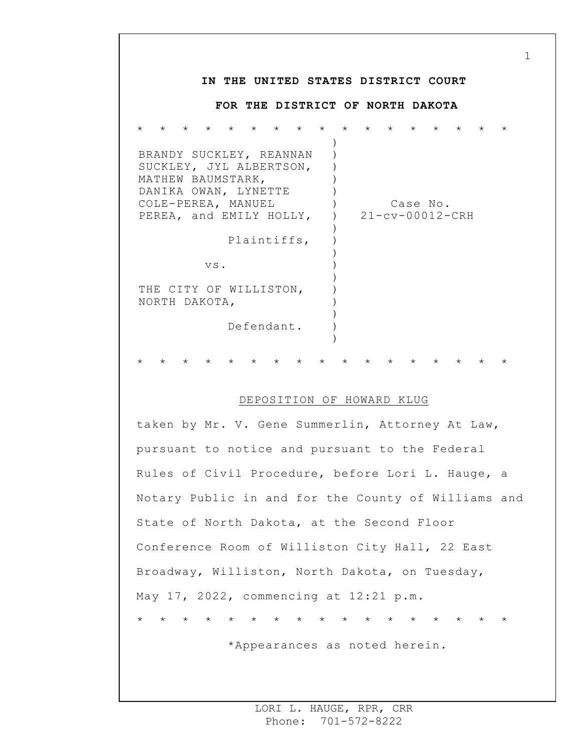## **IN THE UNITED STATES DISTRICT COURT FOR THE DISTRICT OF NORTH DAKOTA** \* \* \* \* \* \* \* \* \* \* \* \* \* \* \* \* \* BRANDY SUCKLEY, REANNAN SUCKLEY, JYL ALBERTSON, MATHEW BAUMSTARK, DANIKA OWAN, LYNETTE COLE-PEREA, MANUEL PEREA, and EMILY HOLLY, Plaintiffs, vs. THE CITY OF WILLISTON, NORTH DAKOTA, Defendant. ) ) ) )  $\left( \right)$  $)$  $\left( \right)$ )  $\left( \right)$ ) ) ) ) ) ) ) ) Case No. 21-cv-00012-CRH \* \* \* \* \* \* \* \* \* \* \* \* \* \* \* \* \*

## DEPOSITION OF HOWARD KLUG

taken by Mr. V. Gene Summerlin, Attorney At Law, pursuant to notice and pursuant to the Federal Rules of Civil Procedure, before Lori L. Hauge, a Notary Public in and for the County of Williams and State of North Dakota, at the Second Floor Conference Room of Williston City Hall, 22 East Broadway, Williston, North Dakota, on Tuesday, May 17, 2022, commencing at 12:21 p.m. \* \* \* \* \* \* \* \* \* \* \* \* \* \* \* \* \*

\*Appearances as noted herein.

1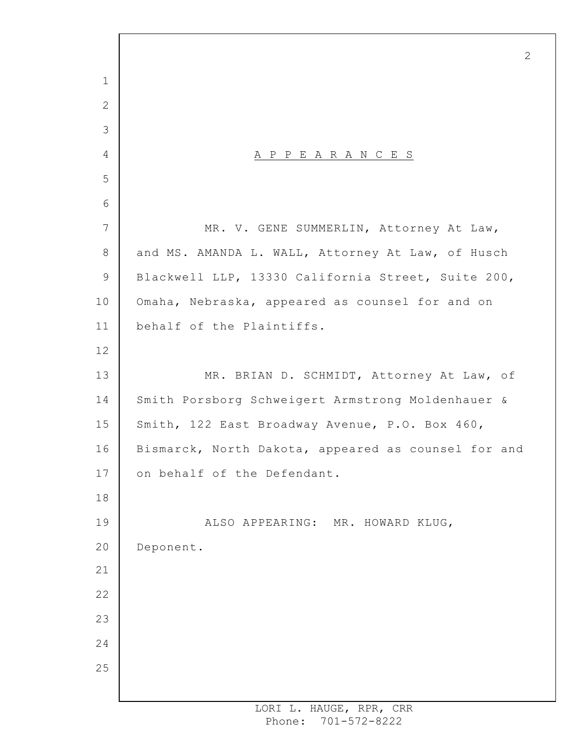A P P E A R A N C E S MR. V. GENE SUMMERLIN, Attorney At Law, and MS. AMANDA L. WALL, Attorney At Law, of Husch Blackwell LLP, 13330 California Street, Suite 200, Omaha, Nebraska, appeared as counsel for and on behalf of the Plaintiffs. MR. BRIAN D. SCHMIDT, Attorney At Law, of Smith Porsborg Schweigert Armstrong Moldenhauer & Smith, 122 East Broadway Avenue, P.O. Box 460, Bismarck, North Dakota, appeared as counsel for and on behalf of the Defendant. ALSO APPEARING: MR. HOWARD KLUG, Deponent.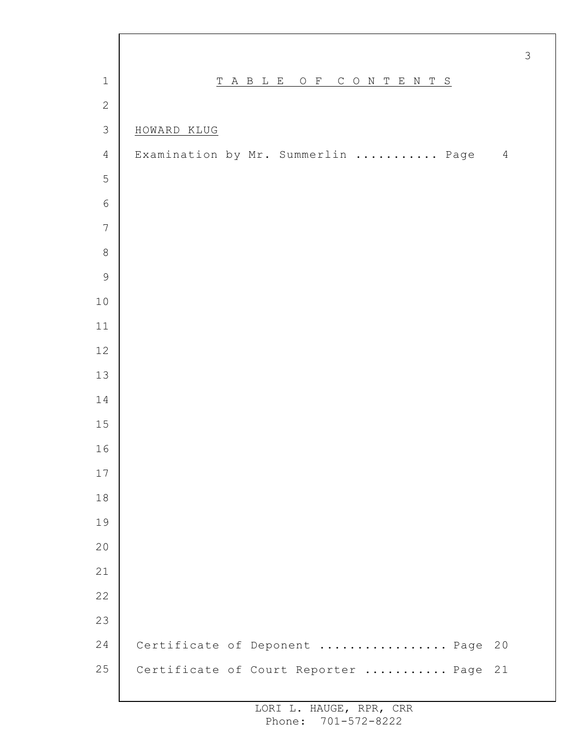|                |                                        | $\mathcal{S}$ |
|----------------|----------------------------------------|---------------|
| $\mathbf 1$    | TABLE OF<br>CONTENTS                   |               |
| $\mathbf{2}$   |                                        |               |
| $\mathfrak{Z}$ | HOWARD KLUG                            |               |
| $\overline{4}$ | Examination by Mr. Summerlin  Page     | $\sqrt{4}$    |
| 5              |                                        |               |
| $\sqrt{6}$     |                                        |               |
| $\overline{7}$ |                                        |               |
| $\,8\,$        |                                        |               |
| $\mathsf 9$    |                                        |               |
| $10$           |                                        |               |
| 11             |                                        |               |
| 12             |                                        |               |
| 13             |                                        |               |
| 14             |                                        |               |
| $15$           |                                        |               |
| 16             |                                        |               |
| $17$           |                                        |               |
| $1\,8$         |                                        |               |
| 19             |                                        |               |
| 20             |                                        |               |
| 21             |                                        |               |
| 22             |                                        |               |
| 23             |                                        |               |
| 24             | Certificate of Deponent  Page<br>20    |               |
| 25             | Certificate of Court Reporter  Page 21 |               |
|                |                                        |               |

 $\Gamma$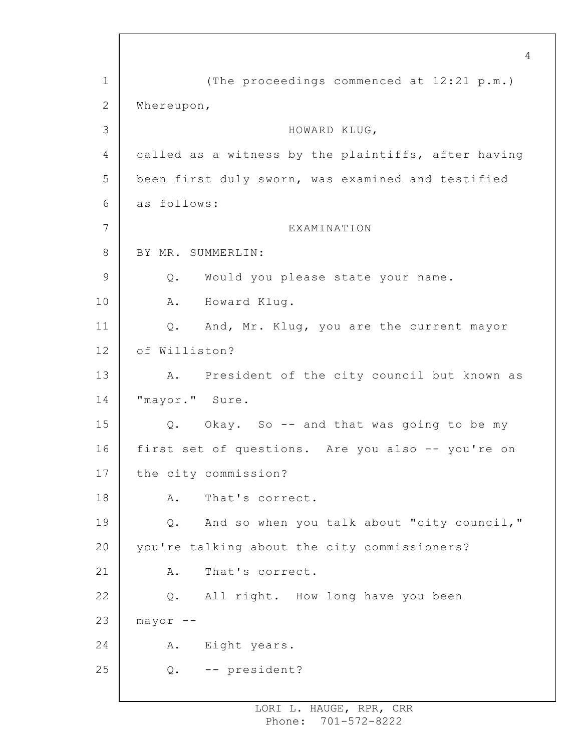1 2 3 4 5 6 7 8 9 10 11 12 13 14 15 16 17 18 19 20 21 22 23 24 25 (The proceedings commenced at 12:21 p.m.) Whereupon, HOWARD KLUG, called as a witness by the plaintiffs, after having been first duly sworn, was examined and testified as follows: EXAMINATION BY MR. SUMMERLIN: Q. Would you please state your name. A. Howard Klug. Q. And, Mr. Klug, you are the current mayor of Williston? A. President of the city council but known as "mayor." Sure. Q. Okay. So -- and that was going to be my first set of questions. Are you also -- you're on the city commission? A. That's correct. Q. And so when you talk about "city council," you're talking about the city commissioners? A. That's correct. Q. All right. How long have you been  $mayor$  --A. Eight years. Q. -- president?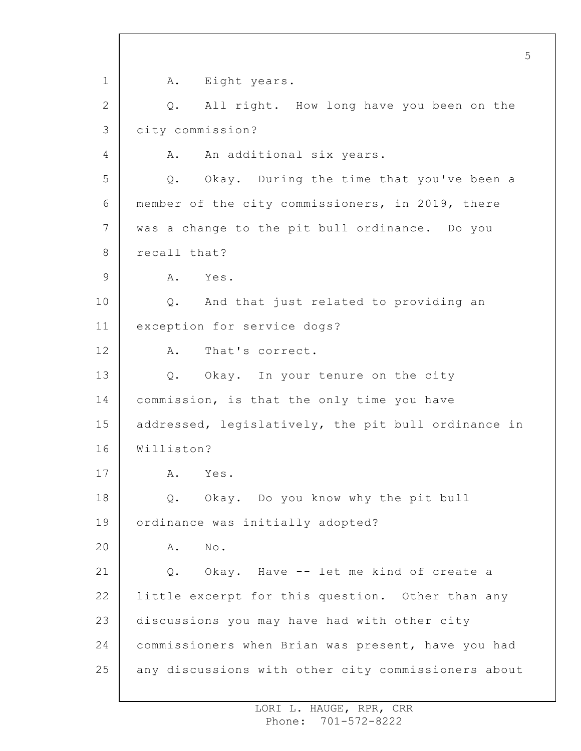1 2 3 4 5 6 7 8 9 10 11 12 13 14 15 16 17 18 19 20 21 22 23 24 25 5 A. Eight years. Q. All right. How long have you been on the city commission? A. An additional six years. Q. Okay. During the time that you've been a member of the city commissioners, in 2019, there was a change to the pit bull ordinance. Do you recall that? A. Yes. Q. And that just related to providing an exception for service dogs? A. That's correct. Q. Okay. In your tenure on the city commission, is that the only time you have addressed, legislatively, the pit bull ordinance in Williston? A. Yes. Q. Okay. Do you know why the pit bull ordinance was initially adopted? A. No. Q. Okay. Have -- let me kind of create a little excerpt for this question. Other than any discussions you may have had with other city commissioners when Brian was present, have you had any discussions with other city commissioners about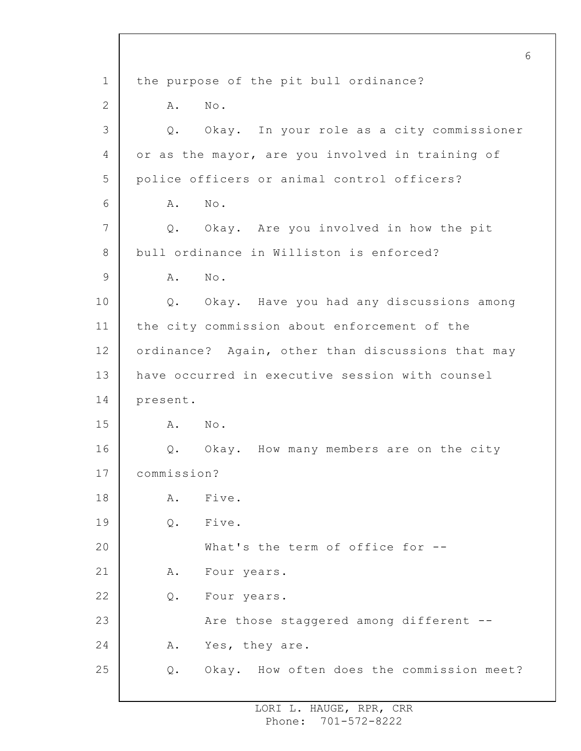1 2 3 4 5 6 7 8 9 10 11 12 13 14 15 16 17 18 19 20 21 22 23 24 25 6 the purpose of the pit bull ordinance? A. No. Q. Okay. In your role as a city commissioner or as the mayor, are you involved in training of police officers or animal control officers? A. No. Q. Okay. Are you involved in how the pit bull ordinance in Williston is enforced? A. No. Q. Okay. Have you had any discussions among the city commission about enforcement of the ordinance? Again, other than discussions that may have occurred in executive session with counsel present. A. No. Q. Okay. How many members are on the city commission? A. Five. Q. Five. What's the term of office for --A. Four years. Q. Four years. Are those staggered among different -- A. Yes, they are. Q. Okay. How often does the commission meet?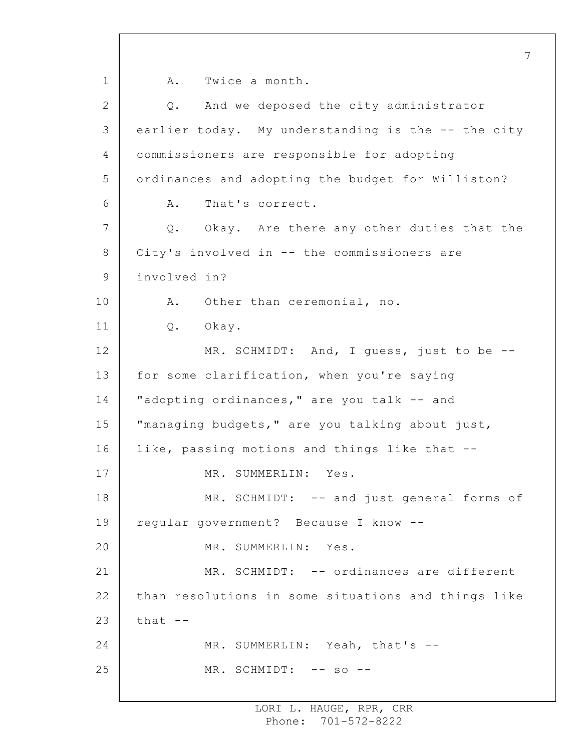1 2 3 4 5 6 7 8 9 10 11 12 13 14 15 16 17 18 19 20 21 22 23 24 25 7 A. Twice a month. Q. And we deposed the city administrator earlier today. My understanding is the -- the city commissioners are responsible for adopting ordinances and adopting the budget for Williston? A. That's correct. Q. Okay. Are there any other duties that the City's involved in -- the commissioners are involved in? A. Other than ceremonial, no. Q. Okay. MR. SCHMIDT: And, I guess, just to be -for some clarification, when you're saying "adopting ordinances," are you talk -- and "managing budgets," are you talking about just, like, passing motions and things like that -- MR. SUMMERLIN: Yes. MR. SCHMIDT: -- and just general forms of regular government? Because I know -- MR. SUMMERLIN: Yes. MR. SCHMIDT: -- ordinances are different than resolutions in some situations and things like that  $--$ MR. SUMMERLIN: Yeah, that's --MR. SCHMIDT: -- so --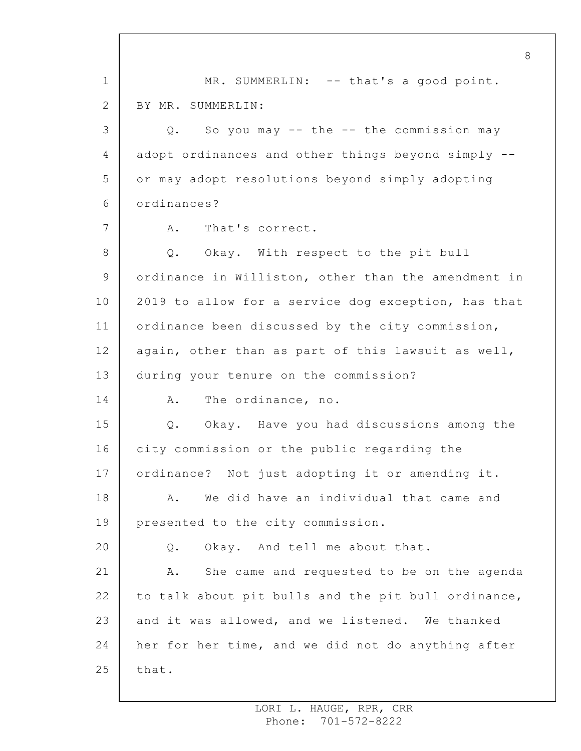1 2 3 4 5 6 7 8 9 10 11 12 13 14 15 16 17 18 19 20 21 22 23 24 25 MR. SUMMERLIN: -- that's a good point. BY MR. SUMMERLIN: Q. So you may -- the -- the commission may adopt ordinances and other things beyond simply - or may adopt resolutions beyond simply adopting ordinances? A. That's correct. Q. Okay. With respect to the pit bull ordinance in Williston, other than the amendment in 2019 to allow for a service dog exception, has that ordinance been discussed by the city commission, again, other than as part of this lawsuit as well, during your tenure on the commission? A. The ordinance, no. Q. Okay. Have you had discussions among the city commission or the public regarding the ordinance? Not just adopting it or amending it. A. We did have an individual that came and presented to the city commission. Q. Okay. And tell me about that. A. She came and requested to be on the agenda to talk about pit bulls and the pit bull ordinance, and it was allowed, and we listened. We thanked her for her time, and we did not do anything after that.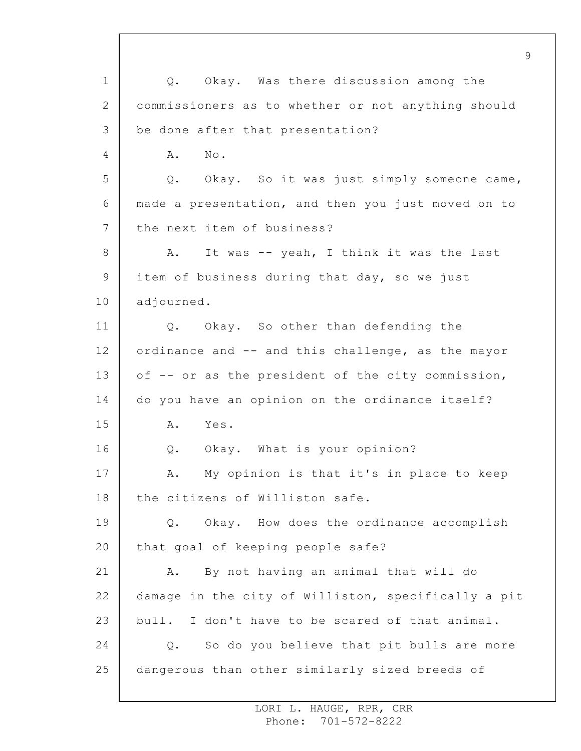1 2 3 4 5 6 7 8 9 10 11 12 13 14 15 16 17 18 19 20 21 22 23 24 25 Q. Okay. Was there discussion among the commissioners as to whether or not anything should be done after that presentation? A. No. Q. Okay. So it was just simply someone came, made a presentation, and then you just moved on to the next item of business? A. It was -- yeah, I think it was the last item of business during that day, so we just adjourned. Q. Okay. So other than defending the ordinance and -- and this challenge, as the mayor of -- or as the president of the city commission, do you have an opinion on the ordinance itself? A. Yes. Q. Okay. What is your opinion? A. My opinion is that it's in place to keep the citizens of Williston safe. Q. Okay. How does the ordinance accomplish that goal of keeping people safe? A. By not having an animal that will do damage in the city of Williston, specifically a pit bull. I don't have to be scared of that animal. Q. So do you believe that pit bulls are more dangerous than other similarly sized breeds of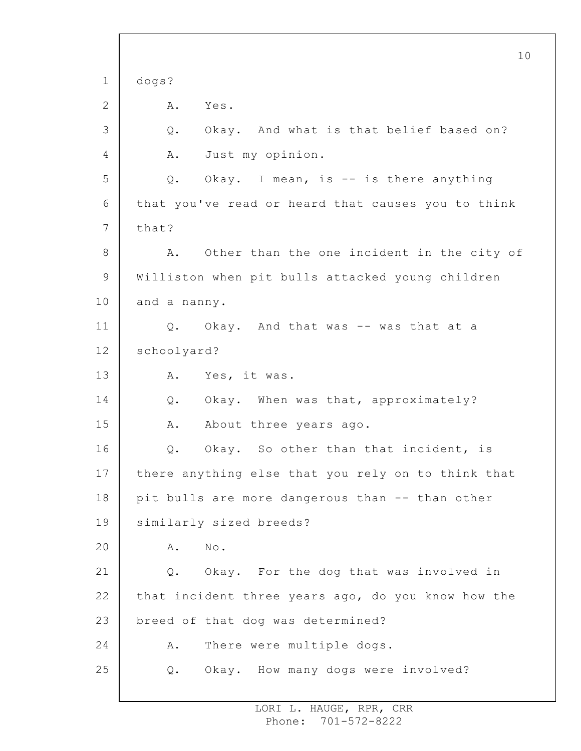1 2 3 4 5 6 7 8 9 10 11 12 13 14 15 16 17 18 19 20 21 22 23 24 25 10 dogs? A. Yes. Q. Okay. And what is that belief based on? A. Just my opinion. Q. Okay. I mean, is -- is there anything that you've read or heard that causes you to think that? A. Other than the one incident in the city of Williston when pit bulls attacked young children and a nanny. Q. Okay. And that was -- was that at a schoolyard? A. Yes, it was. Q. Okay. When was that, approximately? A. About three years ago. Q. Okay. So other than that incident, is there anything else that you rely on to think that pit bulls are more dangerous than -- than other similarly sized breeds? A. No. Q. Okay. For the dog that was involved in that incident three years ago, do you know how the breed of that dog was determined? A. There were multiple dogs. Q. Okay. How many dogs were involved?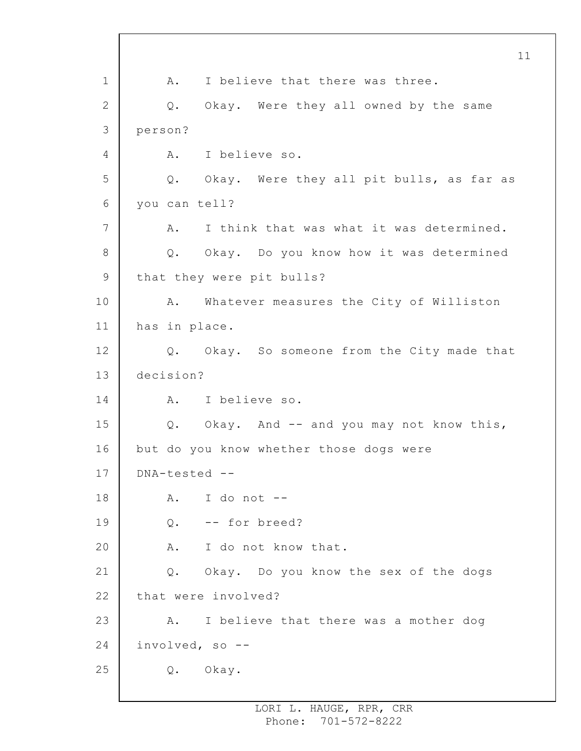1 2 3 4 5 6 7 8 9 10 11 12 13 14 15 16 17 18 19 20 21 22 23 24 25 A. I believe that there was three. Q. Okay. Were they all owned by the same person? A. I believe so. Q. Okay. Were they all pit bulls, as far as you can tell? A. I think that was what it was determined. Q. Okay. Do you know how it was determined that they were pit bulls? A. Whatever measures the City of Williston has in place. Q. Okay. So someone from the City made that decision? A. I believe so. Q. Okay. And -- and you may not know this, but do you know whether those dogs were DNA-tested -- A. I do not -- Q. -- for breed? A. I do not know that. Q. Okay. Do you know the sex of the dogs that were involved? A. I believe that there was a mother dog involved, so -- Q. Okay.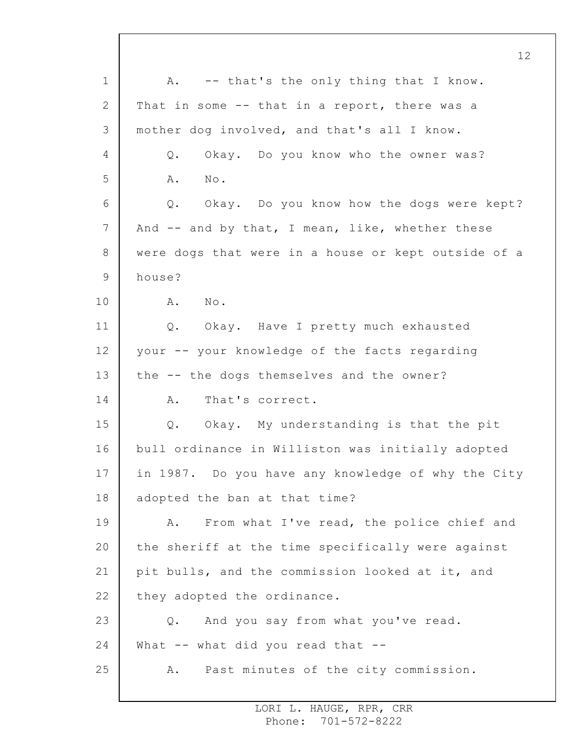1 2 3 4 5 6 7 8 9 10 11 12 13 14 15 16 17 18 19 20 21 22 23 24 25 12 A. -- that's the only thing that I know. That in some -- that in a report, there was a mother dog involved, and that's all I know. Q. Okay. Do you know who the owner was? A. No. Q. Okay. Do you know how the dogs were kept? And -- and by that, I mean, like, whether these were dogs that were in a house or kept outside of a house? A. No. Q. Okay. Have I pretty much exhausted your -- your knowledge of the facts regarding the -- the dogs themselves and the owner? A. That's correct. Q. Okay. My understanding is that the pit bull ordinance in Williston was initially adopted in 1987. Do you have any knowledge of why the City adopted the ban at that time? A. From what I've read, the police chief and the sheriff at the time specifically were against pit bulls, and the commission looked at it, and they adopted the ordinance. Q. And you say from what you've read. What -- what did you read that --A. Past minutes of the city commission.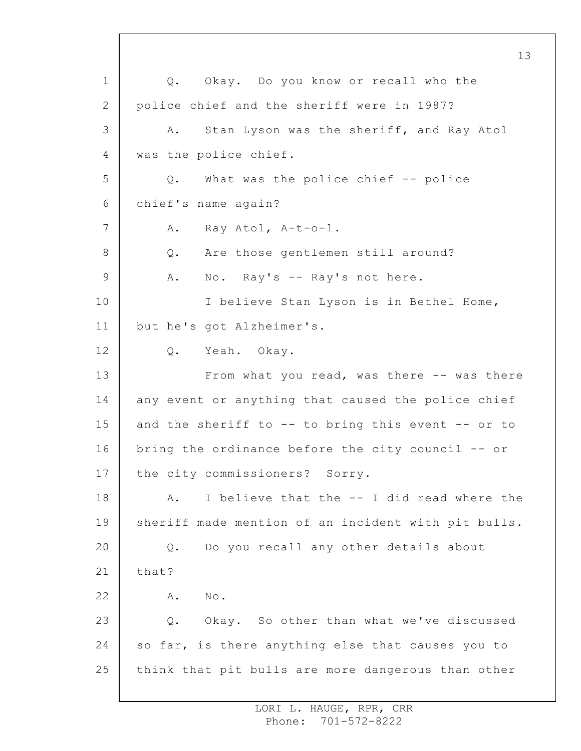1 2 3 4 5 6 7 8 9 10 11 12 13 14 15 16 17 18 19 20 21 22 23 24 25 Q. Okay. Do you know or recall who the police chief and the sheriff were in 1987? A. Stan Lyson was the sheriff, and Ray Atol was the police chief. Q. What was the police chief -- police chief's name again? A. Ray Atol, A-t-o-l. Q. Are those gentlemen still around? A. No. Ray's -- Ray's not here. I believe Stan Lyson is in Bethel Home, but he's got Alzheimer's. Q. Yeah. Okay. From what you read, was there -- was there any event or anything that caused the police chief and the sheriff to -- to bring this event -- or to bring the ordinance before the city council -- or the city commissioners? Sorry. A. I believe that the -- I did read where the sheriff made mention of an incident with pit bulls. Q. Do you recall any other details about that? A. No. Q. Okay. So other than what we've discussed so far, is there anything else that causes you to think that pit bulls are more dangerous than other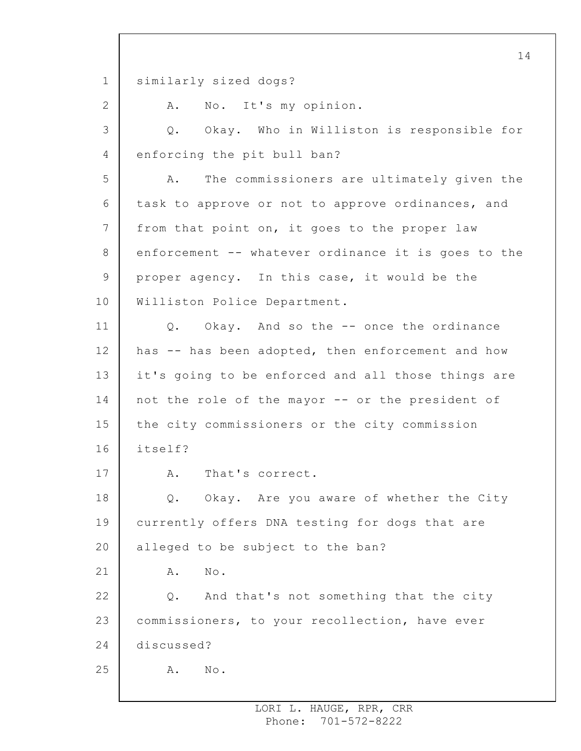1 2 3 4 5 6 7 8 9 10 11 12 13 14 15 16 17 18 19 20 21 22 23 24 25 14 similarly sized dogs? A. No. It's my opinion. Q. Okay. Who in Williston is responsible for enforcing the pit bull ban? A. The commissioners are ultimately given the task to approve or not to approve ordinances, and from that point on, it goes to the proper law enforcement -- whatever ordinance it is goes to the proper agency. In this case, it would be the Williston Police Department. Q. Okay. And so the -- once the ordinance has -- has been adopted, then enforcement and how it's going to be enforced and all those things are not the role of the mayor -- or the president of the city commissioners or the city commission itself? A. That's correct. Q. Okay. Are you aware of whether the City currently offers DNA testing for dogs that are alleged to be subject to the ban? A. No. Q. And that's not something that the city commissioners, to your recollection, have ever discussed? A. No.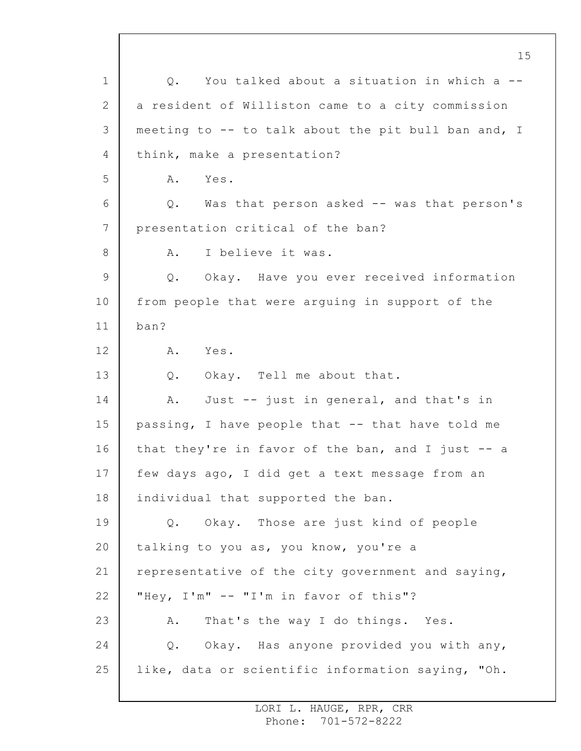1 2 3 4 5 6 7 8 9 10 11 12 13 14 15 16 17 18 19 20 21 22 23 24 25 15 Q. You talked about a situation in which a - a resident of Williston came to a city commission meeting to -- to talk about the pit bull ban and, I think, make a presentation? A. Yes. Q. Was that person asked -- was that person's presentation critical of the ban? A. I believe it was. Q. Okay. Have you ever received information from people that were arguing in support of the ban? A. Yes. Q. Okay. Tell me about that. A. Just -- just in general, and that's in passing, I have people that -- that have told me that they're in favor of the ban, and I just  $-$  a few days ago, I did get a text message from an individual that supported the ban. Q. Okay. Those are just kind of people talking to you as, you know, you're a representative of the city government and saying, "Hey, I'm" -- "I'm in favor of this"? A. That's the way I do things. Yes. Q. Okay. Has anyone provided you with any, like, data or scientific information saying, "Oh.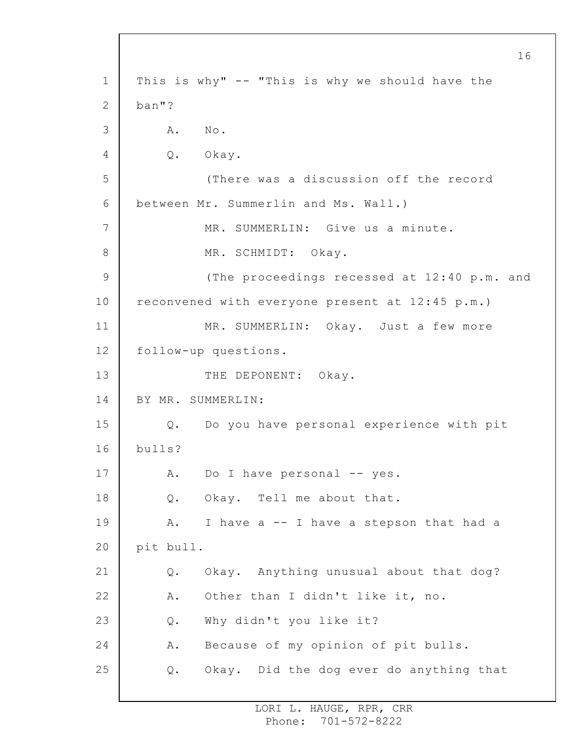1 2 3 4 5 6 7 8 9 10 11 12 13 14 15 16 17 18 19 20 21 22 23 24 25 16 This is why" -- "This is why we should have the ban"? A. No. Q. Okay. (There was a discussion off the record between Mr. Summerlin and Ms. Wall.) MR. SUMMERLIN: Give us a minute. MR. SCHMIDT: Okay. (The proceedings recessed at 12:40 p.m. and reconvened with everyone present at 12:45 p.m.) MR. SUMMERLIN: Okay. Just a few more follow-up questions. THE DEPONENT: Okay. BY MR. SUMMERLIN: Q. Do you have personal experience with pit bulls? A. Do I have personal -- yes. Q. Okay. Tell me about that. A. I have a -- I have a stepson that had a pit bull. Q. Okay. Anything unusual about that dog? A. Other than I didn't like it, no. Q. Why didn't you like it? A. Because of my opinion of pit bulls. Q. Okay. Did the dog ever do anything that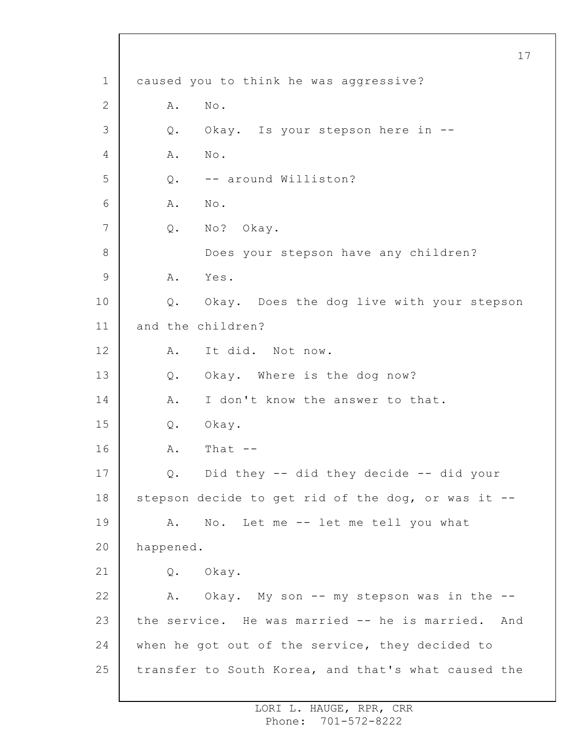1 2 3 4 5 6 7 8 9 10 11 12 13 14 15 16 17 18 19 20 21 22 23 24 25 17 caused you to think he was aggressive? A. No. Q. Okay. Is your stepson here in -- A. No. Q. -- around Williston? A. No. Q. No? Okay. Does your stepson have any children? A. Yes. Q. Okay. Does the dog live with your stepson and the children? A. It did. Not now. Q. Okay. Where is the dog now? A. I don't know the answer to that. Q. Okay.  $A.$  That  $-$ Q. Did they -- did they decide -- did your stepson decide to get rid of the dog, or was it -- A. No. Let me -- let me tell you what happened. Q. Okay. A. Okay. My son -- my stepson was in the -the service. He was married -- he is married. And when he got out of the service, they decided to transfer to South Korea, and that's what caused the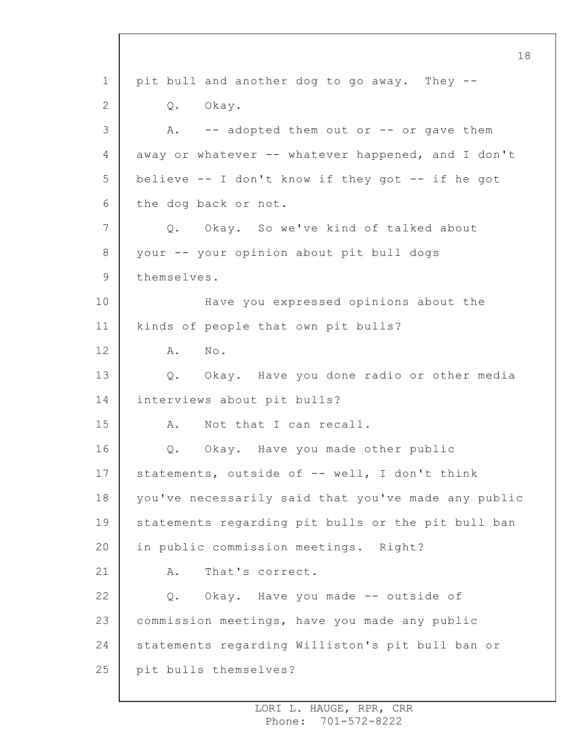1 2 3 4 5 6 7 8 9 10 11 12 13 14 15 16 17 18 19 20 21 22 23 24 25 18 pit bull and another dog to go away. They -- Q. Okay. A. -- adopted them out or -- or gave them away or whatever -- whatever happened, and I don't believe -- I don't know if they got -- if he got the dog back or not. Q. Okay. So we've kind of talked about your -- your opinion about pit bull dogs themselves. Have you expressed opinions about the kinds of people that own pit bulls? A. No. Q. Okay. Have you done radio or other media interviews about pit bulls? A. Not that I can recall. Q. Okay. Have you made other public statements, outside of -- well, I don't think you've necessarily said that you've made any public statements regarding pit bulls or the pit bull ban in public commission meetings. Right? A. That's correct. Q. Okay. Have you made -- outside of commission meetings, have you made any public statements regarding Williston's pit bull ban or pit bulls themselves?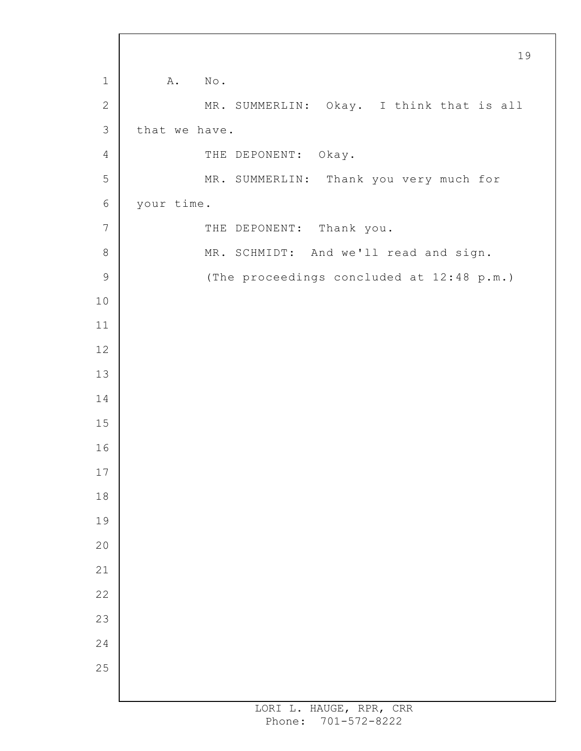|                | 19                                        |
|----------------|-------------------------------------------|
| $\mathbf 1$    | A.<br>$N \circ$ .                         |
| $\sqrt{2}$     | MR. SUMMERLIN: Okay. I think that is all  |
| $\mathsf 3$    | that we have.                             |
| 4              | THE DEPONENT: Okay.                       |
| 5              | MR. SUMMERLIN: Thank you very much for    |
| $\epsilon$     | your time.                                |
| $7\phantom{.}$ | THE DEPONENT: Thank you.                  |
| $8\,$          | MR. SCHMIDT: And we'll read and sign.     |
| $\mathsf 9$    | (The proceedings concluded at 12:48 p.m.) |
| 10             |                                           |
| 11             |                                           |
| 12             |                                           |
| 13             |                                           |
| 14             |                                           |
| 15             |                                           |
| 16             |                                           |
| 17             |                                           |
| 18             |                                           |
| 19             |                                           |
| 20             |                                           |
| 21             |                                           |
| 22             |                                           |
| 23             |                                           |
| 24             |                                           |
| 25             |                                           |
|                |                                           |

 $\Gamma$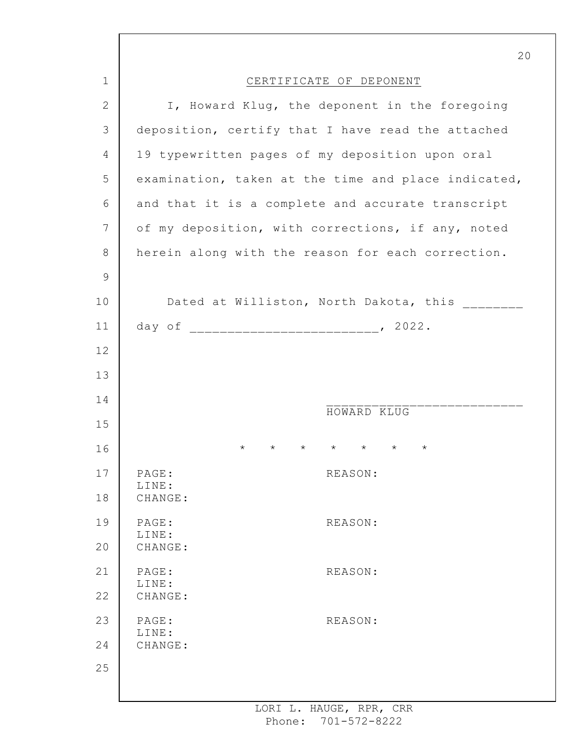|               | 20                                                                       |
|---------------|--------------------------------------------------------------------------|
| 1             | CERTIFICATE OF DEPONENT                                                  |
| $\mathbf{2}$  | I, Howard Klug, the deponent in the foregoing                            |
| 3             | deposition, certify that I have read the attached                        |
| 4             | 19 typewritten pages of my deposition upon oral                          |
| 5             | examination, taken at the time and place indicated,                      |
| 6             | and that it is a complete and accurate transcript                        |
| 7             | of my deposition, with corrections, if any, noted                        |
| $8\,$         | herein along with the reason for each correction.                        |
| $\mathcal{G}$ |                                                                          |
| 10            | Dated at Williston, North Dakota, this                                   |
| 11            |                                                                          |
| 12            |                                                                          |
| 13            |                                                                          |
| 14            | HOWARD KLUG                                                              |
| 15            |                                                                          |
| 16            | $\star$ $\star$<br>$\star$<br>$\star$<br>$^\star$<br>$\star$<br>$^\star$ |
| 17            | PAGE:<br>REASON:<br>LINE:                                                |
| 18            | CHANGE:                                                                  |
| 19            | PAGE:<br>REASON:<br>LINE:                                                |
| 20            | CHANGE:                                                                  |
| 21            | PAGE:<br>REASON:<br>LINE:                                                |
| 22            | CHANGE:                                                                  |
| 23            | PAGE:<br>REASON:<br>LINE:                                                |
| 24            | CHANGE:                                                                  |
| 25            |                                                                          |
|               |                                                                          |

I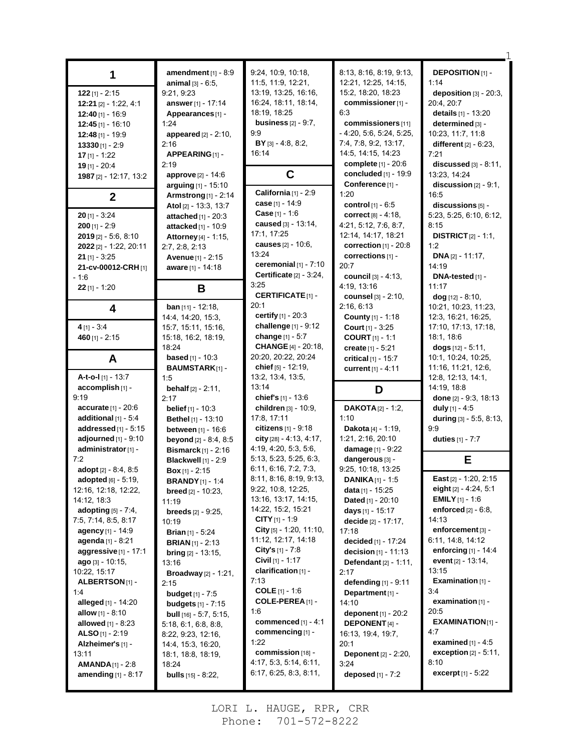| $122$ [1] - 2:15<br>$12:21$ [2] - 1.22, 4.1<br>$12:40$ [1] - 16:9<br>$12:45$ [1] - 16:10<br>12:48 [1] - 19:9<br>$13330$ [1] - 2:9<br>$17$ [1] - 1:22<br>$19$ [1] - 20:4                                                                                                                                                                                | amendment $[1] - 8.9$<br>animal [3] - 6:5,<br>9:21, 9:23<br>answer [1] - 17:14<br>Appearances <sub>[1]</sub> -<br>1:24<br><b>appeared</b> $[2] - 2:10$ ,<br>2:16<br>APPEARING [1] -<br>2:19                                                                                                                                                                                                      | 9:24, 10:9, 10:18,<br>11:5, 11:9, 12:21,<br>13:19, 13:25, 16:16,<br>16:24, 18:11, 18:14,<br>18:19, 18:25<br>business $[2] - 9.7$ ,<br>9.9<br>$BY$ [3] - 4:8, 8:2,<br>16:14                                                                                                                                                                           | 8:13, 8:16, 8:19, 9:13,<br>12:21, 12:25, 14:15,<br>15:2, 18:20, 18:23<br>commissioner [1] -<br>6:3<br>commissioners [11]<br>$-4:20, 5:6, 5:24, 5:25,$<br>7:4, 7:8, 9:2, 13:17,<br>14:5, 14:15, 14:23<br>complete [1] - 20:6                                                                                                                                      | <b>DEPOSITION [1] -</b><br>1:14<br>deposition [3] - 20:3,<br>20:4, 20:7<br>details [1] - 13:20<br>determined [3] -<br>10:23, 11:7, 11:8<br>different $[2] - 6.23$ ,<br>7:21<br>$discussed$ [3] - 8.11,                                                                                                           |
|--------------------------------------------------------------------------------------------------------------------------------------------------------------------------------------------------------------------------------------------------------------------------------------------------------------------------------------------------------|--------------------------------------------------------------------------------------------------------------------------------------------------------------------------------------------------------------------------------------------------------------------------------------------------------------------------------------------------------------------------------------------------|------------------------------------------------------------------------------------------------------------------------------------------------------------------------------------------------------------------------------------------------------------------------------------------------------------------------------------------------------|------------------------------------------------------------------------------------------------------------------------------------------------------------------------------------------------------------------------------------------------------------------------------------------------------------------------------------------------------------------|------------------------------------------------------------------------------------------------------------------------------------------------------------------------------------------------------------------------------------------------------------------------------------------------------------------|
| 1987 [2] - 12:17, 13:2                                                                                                                                                                                                                                                                                                                                 | approve [2] - 14:6                                                                                                                                                                                                                                                                                                                                                                               | $\mathbf C$                                                                                                                                                                                                                                                                                                                                          | concluded [1] - 19:9                                                                                                                                                                                                                                                                                                                                             | 13:23, 14:24                                                                                                                                                                                                                                                                                                     |
| $\mathbf{2}$                                                                                                                                                                                                                                                                                                                                           | arguing [1] - 15:10<br><b>Armstrong</b> [1] - 2:14                                                                                                                                                                                                                                                                                                                                               | California <sup>[1]</sup> - 2:9                                                                                                                                                                                                                                                                                                                      | Conference [1] -<br>1:20                                                                                                                                                                                                                                                                                                                                         | discussion $[2] - 9.1$ .<br>16:5                                                                                                                                                                                                                                                                                 |
| $20$ [1] - 3:24<br>$200$ [1] - 2:9<br>2019 [2] - 5:6, 8:10<br>2022 [2] - 1:22, 20:11<br>$21$ [1] - 3:25<br>21-cv-00012-CRH [1]<br>$-1.6$                                                                                                                                                                                                               | Atol [2] - 13:3, 13:7<br><b>attached</b> $[1] - 20:3$<br>attacked [1] - 10:9<br>Attorney [4] - 1:15,<br>2:7, 2:8, 2:13<br>Avenue [1] - 2:15<br>aware [1] - 14:18                                                                                                                                                                                                                                 | case [1] - 14:9<br><b>Case</b> $[1] - 1:6$<br>caused [3] - 13:14,<br>17:1, 17:25<br><b>causes</b> [2] - 10:6,<br>13:24<br>ceremonial $[1]$ - $7:10$<br>Certificate <sup>[2]</sup> - 3:24,                                                                                                                                                            | control [1] - 6:5<br>correct $[8] - 4:18$ ,<br>4:21, 5:12, 7:6, 8:7,<br>12:14, 14:17, 18:21<br>correction $[1]$ - 20:8<br>corrections [1] -<br>20:7<br>council [3] - 4:13,                                                                                                                                                                                       | discussions [5] -<br>5:23, 5:25, 6:10, 6:12,<br>8:15<br><b>DISTRICT</b> $[2] - 1:1$ ,<br>1:2<br><b>DNA</b> $[2] - 11:17$ ,<br>14:19<br>DNA-tested [1] -                                                                                                                                                          |
| $22$ [1] - 1:20                                                                                                                                                                                                                                                                                                                                        | B                                                                                                                                                                                                                                                                                                                                                                                                | 3:25                                                                                                                                                                                                                                                                                                                                                 | 4:19, 13:16                                                                                                                                                                                                                                                                                                                                                      | 11:17                                                                                                                                                                                                                                                                                                            |
| 4                                                                                                                                                                                                                                                                                                                                                      | <b>ban</b> $[11]$ - 12:18,<br>14:4, 14:20, 15:3,                                                                                                                                                                                                                                                                                                                                                 | <b>CERTIFICATE[1] -</b><br>20:1<br>certify [1] - 20:3                                                                                                                                                                                                                                                                                                | counsel [3] - 2:10,<br>2:16, 6:13<br><b>County</b> [1] - 1:18                                                                                                                                                                                                                                                                                                    | $\log$ [12] - 8:10,<br>10:21, 10:23, 11:23,<br>12:3, 16:21, 16:25,                                                                                                                                                                                                                                               |
| $4$ [1] - 3:4<br>460 $[1] - 2:15$                                                                                                                                                                                                                                                                                                                      | 15:7, 15:11, 15:16,<br>15:18, 16:2, 18:19,                                                                                                                                                                                                                                                                                                                                                       | challenge [1] - 9:12<br>change [1] - 5:7                                                                                                                                                                                                                                                                                                             | <b>Court</b> $[1] - 3:25$<br><b>COURT</b> $[1] - 1:1$                                                                                                                                                                                                                                                                                                            | 17:10, 17:13, 17:18,<br>18:1, 18:6                                                                                                                                                                                                                                                                               |
| A                                                                                                                                                                                                                                                                                                                                                      | 18:24<br><b>based</b> $[1] - 10:3$<br><b>BAUMSTARK[1]-</b>                                                                                                                                                                                                                                                                                                                                       | <b>CHANGE</b> [4] - 20:18,<br>20:20, 20:22, 20:24<br>chief [5] - 12:19,                                                                                                                                                                                                                                                                              | create $[1] - 5:21$<br>critical $[1]$ - 15:7                                                                                                                                                                                                                                                                                                                     | dogs $[12] - 5:11$ ,<br>10:1, 10:24, 10:25,<br>11:16, 11:21, 12:6,                                                                                                                                                                                                                                               |
| A-t-o-I $[1]$ - 13:7                                                                                                                                                                                                                                                                                                                                   | 1.5                                                                                                                                                                                                                                                                                                                                                                                              | 13:2, 13:4, 13:5,                                                                                                                                                                                                                                                                                                                                    | current [1] - 4:11                                                                                                                                                                                                                                                                                                                                               | 12:8, 12:13, 14:1,                                                                                                                                                                                                                                                                                               |
| accomplish [1] -<br>9:19                                                                                                                                                                                                                                                                                                                               | <b>behalf</b> $[2] - 2:11$ ,<br>2:17                                                                                                                                                                                                                                                                                                                                                             | 13:14<br>chief's [1] - 13:6                                                                                                                                                                                                                                                                                                                          | D                                                                                                                                                                                                                                                                                                                                                                | 14:19, 18:8<br>done $[2] - 9.3, 18.13$                                                                                                                                                                                                                                                                           |
| <b>accurate</b> $[1] - 20.6$                                                                                                                                                                                                                                                                                                                           |                                                                                                                                                                                                                                                                                                                                                                                                  |                                                                                                                                                                                                                                                                                                                                                      |                                                                                                                                                                                                                                                                                                                                                                  |                                                                                                                                                                                                                                                                                                                  |
| additional $[1] - 5.4$<br>addressed $[1]$ - 5:15<br>adjourned $[1]$ - $9:10$                                                                                                                                                                                                                                                                           | <b>belief</b> $[1] - 10:3$<br><b>Bethel</b> [1] - 13:10<br>between [1] - 16:6<br><b>beyond</b> $[2] - 8:4, 8:5$                                                                                                                                                                                                                                                                                  | children [3] - 10:9,<br>17:8, 17:11<br>citizens $[1] - 9:18$<br>city $[28] - 4.13, 4.17,$<br>4:19, 4:20, 5:3, 5:6,                                                                                                                                                                                                                                   | <b>DAKOTA</b> $[2] - 1:2$ ,<br>1:10<br>Dakota [4] - 1:19,<br>1:21, 2:16, 20:10<br>damage [1] - 9:22                                                                                                                                                                                                                                                              | duly $[1] - 4.5$<br>during [3] - 5:5, 8:13,<br>9.9<br>duties [1] - 7:7                                                                                                                                                                                                                                           |
| administrator [1] -<br>7:2<br>adopt [2] - 8:4, 8:5                                                                                                                                                                                                                                                                                                     | Bismarck $[1]$ - 2:16<br>Blackwell [1] - 2:9<br><b>Box</b> $[1]$ - 2:15                                                                                                                                                                                                                                                                                                                          | 5:13, 5:23, 5:25, 6:3,<br>6:11, 6:16, 7:2, 7:3,                                                                                                                                                                                                                                                                                                      | dangerous [3] -<br>9:25, 10:18, 13:25                                                                                                                                                                                                                                                                                                                            | Е                                                                                                                                                                                                                                                                                                                |
| <b>adopted</b> [6] - 5:19,<br>12.16, 12.18, 12.22,<br>14:12, 18:3<br>adopting [5] - 7:4,<br>7:5, 7:14, 8:5, 8:17<br>agency [1] - 14:9<br>agenda [1] - 8:21<br>aggressive[1] - 17:1<br>$ago$ [3] - 10:15,<br>10:22, 15:17<br><b>ALBERTSON[1]-</b><br>1:4<br>alleged $[1] - 14:20$<br><b>allow</b> $[1] - 8:10$<br>allowed [1] - 8:23<br>ALSO [1] - 2:19 | <b>BRANDY</b> [1] - 1:4<br><b>breed</b> $[2] - 10:23$ ,<br>11:19<br><b>breeds</b> $[2] - 9:25$ ,<br>10:19<br><b>Brian</b> $[1]$ - 5:24<br><b>BRIAN</b> $[1]$ - 2:13<br><b>bring</b> $[2] - 13:15$ ,<br>13:16<br><b>Broadway</b> [2] - 1:21,<br>2:15<br><b>budget</b> $[1] - 7:5$<br><b>budgets</b> $[1] - 7:15$<br><b>bull</b> $[16] - 5.7, 5.15,$<br>5:18, 6:1, 6:8, 8:8,<br>8:22, 9:23, 12:16, | 8:11, 8:16, 8:19, 9:13,<br>9:22, 10:8, 12:25,<br>13:16, 13:17, 14:15,<br>14:22, 15:2, 15:21<br><b>CITY</b> $[1] - 1.9$<br>City $[5] - 1:20, 11:10,$<br>11:12, 12:17, 14:18<br>City's $[1] - 7.8$<br>Civil [1] - 1:17<br>clarification [1] -<br>7:13<br><b>COLE</b> $[1] - 1.6$<br>COLE-PEREA [1] -<br>1:6<br>commenced [1] - 4:1<br>commencing [1] - | <b>DANIKA</b> $[1]$ - 1:5<br><b>data</b> [1] - $15:25$<br><b>Dated</b> [1] - $20:10$<br>days [1] - 15:17<br>decide [2] - 17:17,<br>17:18<br>decided [1] - 17:24<br><b>decision</b> $[1] - 11:13$<br>Defendant [2] - 1:11,<br>2:17<br>defending [1] - 9:11<br>Department $[1]$ -<br>14:10<br>deponent $[1]$ - 20:2<br><b>DEPONENT</b> [4] -<br>16:13, 19:4, 19:7, | East [2] - 1:20, 2:15<br>eight [2] - 4:24, 5:1<br><b>EMILY</b> $[1]$ - 1:6<br>enforced [2] - 6:8,<br>14:13<br>enforcement [3] -<br>6:11, 14:8, 14:12<br>enforcing $[1]$ - 14:4<br>event $[2] - 13.14$ ,<br>13:15<br>Examination [1] -<br>3:4<br>examination [1] -<br>20:5<br>$EXAMPLE$ XAMINATION $[1]$ -<br>4:7 |

1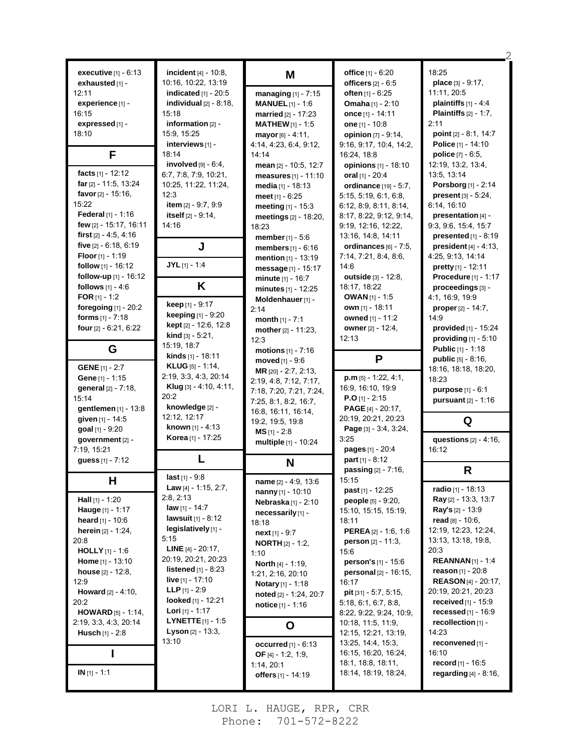| executive [1] - 6:13           | incident $[4] - 10.8$ ,            |                               | office [1] - 6:20               | 18:25                           |
|--------------------------------|------------------------------------|-------------------------------|---------------------------------|---------------------------------|
| exhausted [1] -                | 10:16, 10:22, 13:19                | M                             | officers $[2] - 6.5$            | place [3] - 9:17,               |
| 12:11                          | indicated $[1]$ - 20:5             |                               |                                 | 11:11, 20:5                     |
|                                |                                    | managing [1] - 7:15           | <b>often</b> [1] - $6:25$       | plaintiffs $[1] - 4.4$          |
| experience [1] -               | individual $[2] - 8.18$ ,<br>15:18 | <b>MANUEL</b> $[1]$ - 1:6     | <b>Omaha</b> $[1] - 2:10$       |                                 |
| 16:15                          |                                    | married [2] - 17:23           | once [1] - 14:11                | <b>Plaintiffs</b> $[2] - 1.7$ , |
| expressed [1] -                | information $[2]$ -                | <b>MATHEW</b> $[1] - 1.5$     | one $[1] - 10.8$                | 2:11                            |
| 18:10                          | 15:9, 15:25                        | mayor $[6] - 4:11$ ,          | opinion $[7] - 9:14$ ,          | point $[2] - 8.1, 14.7$         |
|                                | interviews $[1]$ -                 | 4:14, 4:23, 6:4, 9:12,        | 9.16, 9.17, 10.4, 14.2,         | Police [1] - 14:10              |
| F                              | 18:14                              | 14:14                         | 16:24, 18:8                     | <b>police</b> $[7] - 6:5$ ,     |
|                                | involved $[9] - 6.4$ ,             | mean [2] - 10:5, 12:7         | opinions [1] - 18:10            | 12:19, 13:2, 13:4,              |
| facts [1] - 12:12              | 6.7, 7.8, 7.9, 10.21,              | measures $[1] - 11:10$        | oral [1] - 20:4                 | 13:5, 13:14                     |
| <b>far</b> $[2] - 11.5, 13.24$ | 10:25, 11:22, 11:24,               | media [1] - 18:13             | ordinance [19] - 5:7,           | Porsborg [1] - 2:14             |
| <b>favor</b> $[2] - 15.16$ ,   | 12:3                               | <b>meet</b> $[1] - 6:25$      | 5.15, 5.19, 6.1, 6.8,           | present $[3] - 5:24$ ,          |
| 15:22                          | item [2] - 9:7, 9:9                | meeting $[1] - 15.3$          | 6.12, 8.9, 8.11, 8.14,          | 6:14, 16:10                     |
| Federal $[1] - 1.16$           | itself $[2] - 9:14$ ,              | meetings [2] - 18:20,         | 8:17, 8:22, 9:12, 9:14,         | presentation [4] -              |
| few [2] - 15:17, 16:11         | 14:16                              | 18:23                         | 9:19, 12:16, 12:22,             | 9:3, 9:6, 15:4, 15:7            |
| first $[2] - 4.5, 4.16$        |                                    | member [1] - 5:6              | 13:16, 14:8, 14:11              | presented $[1] - 8.19$          |
| five $[2] - 6.18, 6.19$        | J                                  | <b>members</b> $[1] - 6:16$   | ordinances $[6]$ - 7:5,         | <b>president</b> $[4] - 4:13$ , |
| <b>Floor</b> [1] - 1:19        |                                    | <b>mention</b> $[1] - 13:19$  | 7:14, 7:21, 8:4, 8:6,           | 4:25, 9:13, 14:14               |
| follow [1] - 16:12             | $JYL$ [1] - 1:4                    | <b>message</b> [1] - 15:17    | 14:6                            | pretty $[1] - 12.11$            |
| follow-up $[1]$ - 16:12        |                                    | minute [1] - 16:7             | outside [3] - 12:8,             | Procedure [1] - 1:17            |
| follows $[1] - 4.6$            | K                                  | minutes [1] - 12:25           | 18:17, 18:22                    | proceedings [3] -               |
| FOR $[1] - 1:2$                |                                    | Moldenhauer [1] -             | <b>OWAN</b> $[1]$ - 1:5         | 4:1, 16:9, 19:9                 |
| foregoing [1] - 20:2           | <b>keep</b> $[1] - 9:17$           | 2:14                          | <b>own</b> [1] - 18:11          | <b>proper</b> $[2] - 14.7$ ,    |
| forms $[1] - 7:18$             | <b>keeping</b> $[1] - 9:20$        |                               | owned [1] - 11:2                | 14:9                            |
| four [2] - 6:21, 6:22          | <b>kept</b> $[2] - 12:6, 12:8$     | month $[1] - 7:1$             | owner [2] - 12:4,               | provided [1] - 15:24            |
|                                | <b>kind</b> $[3] - 5:21$ ,         | mother $[2] - 11:23$ ,        | 12:13                           | providing $[1]$ - 5:10          |
|                                | 15:19, 18:7                        | 12:3                          |                                 |                                 |
| G                              | <b>kinds</b> $[1]$ - 18:11         | <b>motions</b> $[1] - 7:16$   | P                               | <b>Public</b> $[1] - 1:18$      |
| <b>GENE</b> $[1] - 2:7$        | <b>KLUG</b> [5] - 1:14,            | moved [1] - 9:6               |                                 | <b>public</b> $[5] - 8:16$ ,    |
|                                |                                    | MR [20] - 2:7, 2:13,          |                                 | 18:16, 18:18, 18:20,            |
|                                |                                    |                               |                                 |                                 |
| Gene [1] - 1:15                | 2:19, 3:3, 4:3, 20:14              | 2:19, 4:8, 7:12, 7:17,        | $p.m$ [5] - 1:22, 4:1,          | 18:23                           |
| general [2] - 7:18,            | Klug [3] - 4:10, 4:11,             | 7:18, 7:20, 7:21, 7:24,       | 16.9, 16.10, 19.9               | <b>purpose</b> $[1] - 6:1$      |
| 15:14                          | 20:2                               | 7:25, 8:1, 8:2, 16:7,         | <b>P.O</b> [1] - 2:15           | <b>pursuant</b> $[2] - 1:16$    |
| gentlemen [1] - 13:8           | knowledge [2] -                    | 16:8, 16:11, 16:14,           | <b>PAGE</b> $[4]$ - 20:17,      |                                 |
| given [1] - 14:5               | 12:12, 12:17                       | 19.2, 19.5, 19.8              | 20:19, 20:21, 20:23             | Q                               |
| goal [1] - 9:20                | <b>known</b> [1] - 4:13            | $MS$ [1] - 2:8                | Page [3] - 3.4, 3:24,           |                                 |
| government [2] -               | Korea [1] - 17:25                  | multiple [1] - 10:24          | 3:25                            | questions $[2] - 4:16$ ,        |
| 7:19, 15:21                    |                                    |                               | pages [1] - 20:4                | 16:12                           |
| guess [1] - 7:12               | L                                  | N                             | part $[1] - 8:12$               |                                 |
|                                |                                    |                               | <b>passing</b> $[2] - 7:16$ ,   | R                               |
| H                              | $last[1] - 9.8$                    | <b>name</b> $[2] - 4.9, 13.6$ | 15:15                           |                                 |
|                                | Law $[4] - 1:15, 2:7,$             | nanny [1] - 10:10             | <b>past</b> $[1]$ - 12:25       | radio [1] - 18:13               |
| Hall [1] - 1:20                | 2:8, 2:13                          | Nebraska [1] - 2:10           | <b>people</b> $[5] - 9:20$ ,    | Ray [2] - 13:3, 13:7            |
| Hauge [1] - 1:17               | <b>law</b> $[1] - 14.7$            | necessarily [1] -             | 15:10, 15:15, 15:19,            | <b>Ray's</b> $[2] - 13.9$       |
| heard $[1] - 10:6$             | <b>lawsuit</b> $[1] - 8:12$        | 18:18                         | 18:11                           | read $[8] - 10.6$ ,             |
| herein [2] - 1:24,             | legislatively [1] -                | next [1] - 9:7                | <b>PEREA</b> $[2] - 1.6, 1.6$   | 12:19, 12:23, 12:24,            |
| 20:8                           | 5:15                               | <b>NORTH</b> $[2] - 1:2$ ,    | <b>person</b> $[2] - 11:3$      | 13:13, 13:18, 19:8,             |
| <b>HOLLY</b> $[1] - 1.6$       | <b>LINE</b> $[4] - 20:17$ ,        | 1:10                          | 15:6                            | 20:3                            |
| <b>Home</b> $[1]$ - 13:10      | 20:19, 20:21, 20:23                | <b>North</b> [4] - 1:19,      | person's [1] - 15:6             | <b>REANNAN</b> [1] - 1:4        |
| <b>house</b> $[2] - 12.8$      | <b>listened</b> $[1] - 8:23$       | 1:21, 2:16, 20:10             | <b>personal</b> $[2] - 16:15$ , | <b>reason</b> $[1]$ - 20:8      |
| 12:9                           | <b>live</b> $[1] - 17:10$          | Notary [1] - 1:18             | 16:17                           | <b>REASON</b> [4] - 20:17,      |
| <b>Howard</b> $[2] - 4:10$ ,   | <b>LLP</b> $[1] - 2.9$             | noted [2] - 1:24, 20:7        | pit [31] - 5:7, 5:15,           | 20:19, 20:21, 20:23             |
| 20:2                           | looked $[1]$ - 12:21               | notice $[1] - 1:16$           | 5.18, 6.1, 6.7, 8.8,            | <b>received</b> $[1]$ - 15:9    |
| <b>HOWARD</b> [5] - 1:14,      | <b>Lori</b> $[1]$ - 1:17           |                               | 8:22, 9:22, 9:24, 10:9,         | recessed $[1]$ - 16:9           |
| 2:19, 3:3, 4:3, 20:14          | <b>LYNETTE</b> $[1] - 1.5$         |                               | 10:18, 11:5, 11:9,              | recollection [1] -              |
| Husch [1] - 2:8                | <b>Lyson</b> $[2] - 13:3,$         | O                             | 12:15, 12:21, 13:19,            | 14:23                           |
|                                | 13:10                              | occurred $[1] - 6:13$         | 13:25, 14:4, 15:3,              | reconvened [1] -                |
|                                |                                    | OF $[4] - 1:2, 1:9,$          | 16:15, 16:20, 16:24,            | 16:10                           |
|                                |                                    | 1:14, 20:1                    | 18:1, 18:8, 18:11,              | record [1] - 16:5               |
| $IN[1] - 1:1$                  |                                    | offers [1] - 14:19            | 18:14, 18:19, 18:24,            | <b>regarding</b> $[4] - 8.16$ , |